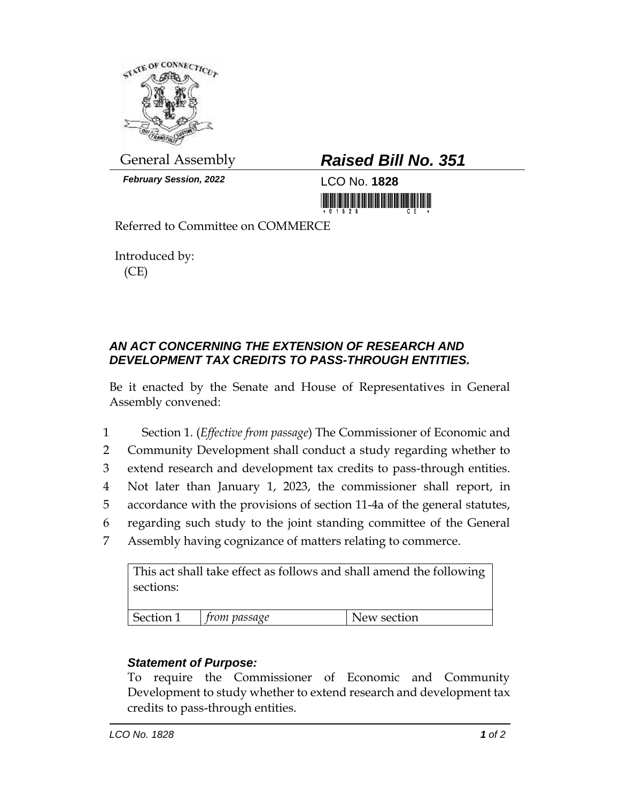

*February Session, 2022* LCO No. **1828**

## General Assembly *Raised Bill No. 351*

<u> III MARIJI III MARIJI III MARIJI II MARIJI II MARIJI II MARIJI II MARIJI II MARIJI II MARIJI II MARIJI II MA</u>

Referred to Committee on COMMERCE

Introduced by: (CE)

## *AN ACT CONCERNING THE EXTENSION OF RESEARCH AND DEVELOPMENT TAX CREDITS TO PASS-THROUGH ENTITIES.*

Be it enacted by the Senate and House of Representatives in General Assembly convened:

 Section 1. (*Effective from passage*) The Commissioner of Economic and Community Development shall conduct a study regarding whether to extend research and development tax credits to pass-through entities. Not later than January 1, 2023, the commissioner shall report, in accordance with the provisions of section 11-4a of the general statutes, regarding such study to the joint standing committee of the General Assembly having cognizance of matters relating to commerce.

This act shall take effect as follows and shall amend the following sections: Section 1 *from passage* New section

## *Statement of Purpose:*

To require the Commissioner of Economic and Community Development to study whether to extend research and development tax credits to pass-through entities.